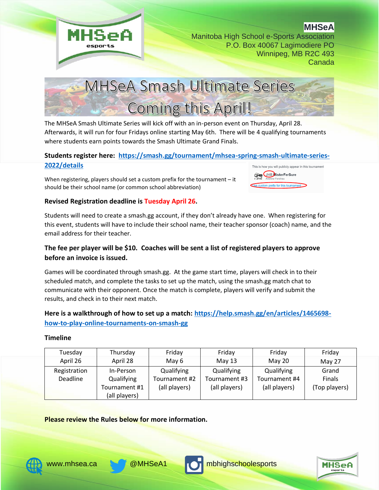

**MHSeA**



The MHSeA Smash Ultimate Series will kick off with an in-person event on Thursday, April 28. Afterwards, it will run for four Fridays online starting May 6th. There will be 4 qualifying tournaments where students earn points towards the Smash Ultimate Grand Finals.

#### **Students register here: [https://smash.gg/tournament/mhsea-spring-smash-ultimate-series-](https://smash.gg/tournament/mhsea-spring-smash-ultimate-series-2022/details)[2022/details](https://smash.gg/tournament/mhsea-spring-smash-ultimate-series-2022/details)** This is how you will publicly appear in this tournament

When registering, players should set a custom prefix for the tournament – it should be their school name (or common school abbreviation)



#### **Revised Registration deadline is Tuesday April 26.**

Students will need to create a smash.gg account, if they don't already have one. When registering for this event, students will have to include their school name, their teacher sponsor (coach) name, and the email address for their teacher.

## **The fee per player will be \$10. Coaches will be sent a list of registered players to approve before an invoice is issued.**

Games will be coordinated through smash.gg. At the game start time, players will check in to their scheduled match, and complete the tasks to set up the match, using the smash.gg match chat to communicate with their opponent. Once the match is complete, players will verify and submit the results, and check in to their next match.

# **Here is a walkthrough of how to set up a match: [https://help.smash.gg/en/articles/1465698](https://help.smash.gg/en/articles/1465698-how-to-play-online-tournaments-on-smash-gg) [how-to-play-online-tournaments-on-smash-gg](https://help.smash.gg/en/articles/1465698-how-to-play-online-tournaments-on-smash-gg)**

#### **Timeline**

| Tuesday      | Thursday      | Friday        | Friday        | Friday        | Friday        |
|--------------|---------------|---------------|---------------|---------------|---------------|
| April 26     | April 28      | May 6         | May $13$      | May 20        | May 27        |
| Registration | In-Person     | Qualifying    | Qualifying    | Qualifying    | Grand         |
| Deadline     | Qualifying    | Tournament #2 | Tournament #3 | Tournament #4 | Finals        |
|              | Tournament #1 | (all players) | (all players) | (all players) | (Top players) |
|              | (all players) |               |               |               |               |

**Please review the Rules below for more information.**







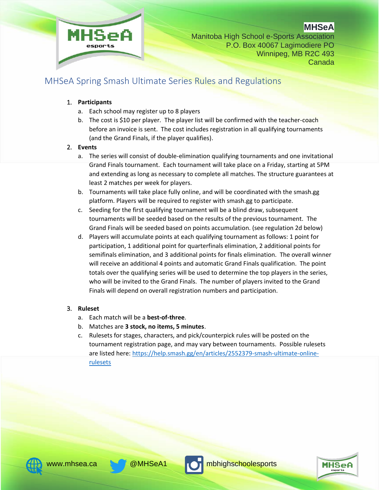

**MHSeA**

# MHSeA Spring Smash Ultimate Series Rules and Regulations

### 1. **Participants**

- a. Each school may register up to 8 players
- b. The cost is \$10 per player. The player list will be confirmed with the teacher-coach before an invoice is sent. The cost includes registration in all qualifying tournaments (and the Grand Finals, if the player qualifies).

#### 2. **Events**

- a. The series will consist of double-elimination qualifying tournaments and one invitational Grand Finals tournament. Each tournament will take place on a Friday, starting at 5PM and extending as long as necessary to complete all matches. The structure guarantees at least 2 matches per week for players.
- b. Tournaments will take place fully online, and will be coordinated with the smash.gg platform. Players will be required to register with smash.gg to participate.
- c. Seeding for the first qualifying tournament will be a blind draw, subsequent tournaments will be seeded based on the results of the previous tournament. The Grand Finals will be seeded based on points accumulation. (see regulation 2d below)
- d. Players will accumulate points at each qualifying tournament as follows: 1 point for participation, 1 additional point for quarterfinals elimination, 2 additional points for semifinals elimination, and 3 additional points for finals elimination. The overall winner will receive an additional 4 points and automatic Grand Finals qualification. The point totals over the qualifying series will be used to determine the top players in the series, who will be invited to the Grand Finals. The number of players invited to the Grand Finals will depend on overall registration numbers and participation.

#### 3. **Ruleset**

- a. Each match will be a **best-of-three**.
- b. Matches are **3 stock, no items, 5 minutes**.
- c. Rulesets for stages, characters, and pick/counterpick rules will be posted on the tournament registration page, and may vary between tournaments. Possible rulesets are listed here: [https://help.smash.gg/en/articles/2552379-smash-ultimate-online](https://help.smash.gg/en/articles/2552379-smash-ultimate-online-rulesets)[rulesets](https://help.smash.gg/en/articles/2552379-smash-ultimate-online-rulesets)





[www.mhsea.ca](http://www.mhsea.ca/) & @MHSeA1 mbhighschoolesports

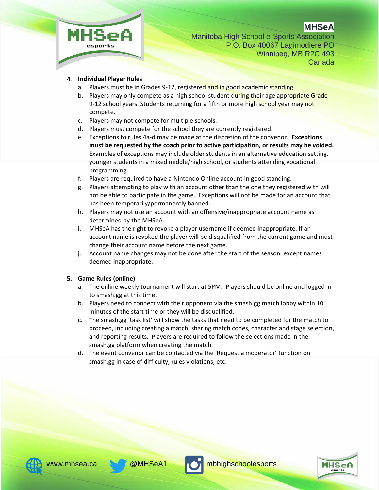



#### 4. **Individual Player Rules**

- a. Players must be in Grades 9-12, registered and in good academic standing.
- b. Players may only compete as a high school student during their age appropriate Grade 9-12 school years. Students returning for a fifth or more high school year may not compete.
- c. Players may not compete for multiple schools.
- d. Players must compete for the school they are currently registered.
- e. Exceptions to rules 4a-d may be made at the discretion of the convenor. **Exceptions must be requested by the coach prior to active participation, or results may be voided.** Examples of exceptions may include older students in an alternative education setting, younger students in a mixed middle/high school, or students attending vocational programming.
- f. Players are required to have a Nintendo Online account in good standing.
- g. Players attempting to play with an account other than the one they registered with will not be able to participate in the game. Exceptions will not be made for an account that has been temporarily/permanently banned.
- h. Players may not use an account with an offensive/inappropriate account name as determined by the MHSeA.
- i. MHSeA has the right to revoke a player username if deemed inappropriate. If an account name is revoked the player will be disqualified from the current game and must change their account name before the next game.
- j. Account name changes may not be done after the start of the season, except names deemed inappropriate.

#### 5. **Game Rules (online)**

- a. The online weekly tournament will start at 5PM. Players should be online and logged in to smash.gg at this time.
- b. Players need to connect with their opponent via the smash.gg match lobby within 10 minutes of the start time or they will be disqualified.
- c. The smash.gg 'task list' will show the tasks that need to be completed for the match to proceed, including creating a match, sharing match codes, character and stage selection, and reporting results. Players are required to follow the selections made in the smash.gg platform when creating the match.
- d. The event convenor can be contacted via the 'Request a moderator' function on smash.gg in case of difficulty, rules violations, etc.





[www.mhsea.ca](http://www.mhsea.ca/) **& @MHSeA1** computer mbhighschoolesports